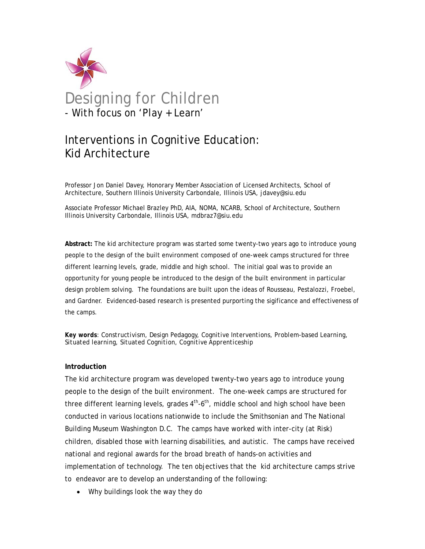

# Interventions in Cognitive Education: Kid Architecture

Professor Jon Daniel Davey, Honorary Member Association of Licensed Architects, School of Architecture, Southern Illinois University Carbondale, Illinois USA, jdavey@siu.edu

Associate Professor Michael Brazley PhD, AIA, NOMA, NCARB, School of Architecture, Southern Illinois University Carbondale, Illinois USA, mdbraz7@siu.edu

**Abstract:** The kid architecture program was started some twenty-two years ago to introduce young people to the design of the built environment composed of one-week camps structured for three different learning levels, grade, middle and high school. The initial goal was to provide an opportunity for young people be introduced to the design of the built environment in particular design problem solving. The foundations are built upon the ideas of Rousseau, Pestalozzi, Froebel, and Gardner. Evidenced-based research is presented purporting the sigificance and effectiveness of the camps.

*Key words: Constructivism, Design Pedagogy, Cognitive Interventions, Problem-based Learning, Situated learning, Situated Cognition, Cognitive Apprenticeship* 

# **Introduction**

The kid architecture program was developed twenty-two years ago to introduce young people to the design of the built environment. The one-week camps are structured for three different learning levels, grades  $4<sup>th</sup>$ -6<sup>th</sup>, middle school and high school have been conducted in various locations nationwide to include the Smithsonian and The National Building Museum Washington D.C. The camps have worked with inter-city (at Risk) children, disabled those with learning disabilities, and autistic. The camps have received national and regional awards for the broad breath of hands-on activities and implementation of technology. The ten objectives that the kid architecture camps strive to endeavor are to develop an understanding of the following:

• Why buildings look the way they do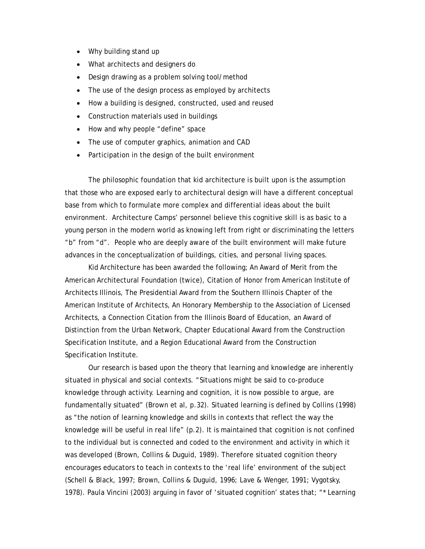- Why building stand up
- What architects and designers do
- Design drawing as a problem solving tool/method
- The use of the design process as employed by architects
- How a building is designed, constructed, used and reused
- Construction materials used in buildings
- How and why people "define" space
- The use of computer graphics, animation and CAD
- Participation in the design of the built environment

 The philosophic foundation that kid architecture is built upon is the assumption that those who are exposed early to architectural design will have a different conceptual base from which to formulate more complex and differential ideas about the built environment. Architecture Camps' personnel believe this cognitive skill is as basic to a young person in the modern world as knowing left from right or discriminating the letters "b" from "d". People who are deeply aware of the built environment will make future advances in the conceptualization of buildings, cities, and personal living spaces.

Kid Architecture has been awarded the following; An Award of Merit from the American Architectural Foundation (twice), Citation of Honor from American Institute of Architects Illinois, The Presidential Award from the Southern Illinois Chapter of the American Institute of Architects, An Honorary Membership to the Association of Licensed Architects, a Connection Citation from the Illinois Board of Education, an Award of Distinction from the Urban Network, Chapter Educational Award from the Construction Specification Institute, and a Region Educational Award from the Construction Specification Institute.

 Our research is based upon the theory that learning and knowledge are inherently situated in physical and social contexts. "Situations might be said to co-produce knowledge through activity. Learning and cognition, it is now possible to argue, are fundamentally situated" (Brown et al, p.32). Situated learning is defined by Collins (1998) as "the notion of learning knowledge and skills in contexts that reflect the way the knowledge will be useful in real life" (p.2). It is maintained that cognition is not confined to the individual but is connected and coded to the environment and activity in which it was developed (Brown, Collins & Duguid, 1989). Therefore situated cognition theory encourages educators to teach in contexts to the 'real life' environment of the subject (Schell & Black, 1997; Brown, Collins & Duguid, 1996; Lave & Wenger, 1991; Vygotsky, 1978). Paula Vincini (2003) arguing in favor of 'situated cognition' states that; "\* Learning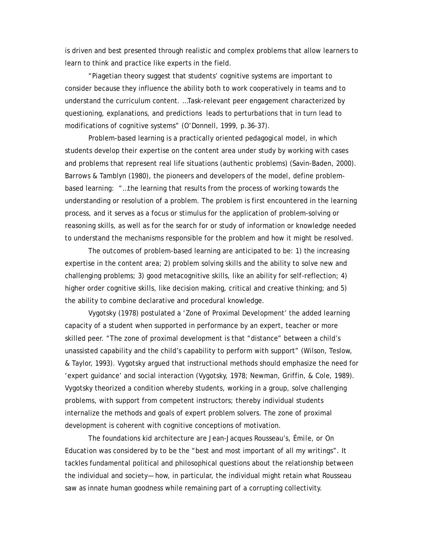is driven and best presented through realistic and complex problems that allow learners to learn to think and practice like experts in the field.

 "Piagetian theory suggest that students' cognitive systems are important to consider because they influence the ability both to work cooperatively in teams and to understand the curriculum content. …Task-relevant peer engagement characterized by questioning, explanations, and predictions leads to perturbations that in turn lead to modifications of cognitive systems" (O'Donnell, 1999, p.36-37).

 Problem-based learning is a practically oriented pedagogical model, in which students develop their expertise on the content area under study by working with cases and problems that represent real life situations (authentic problems) (Savin-Baden, 2000). Barrows & Tamblyn (1980), the pioneers and developers of the model, define problembased learning: "…the learning that results from the process of working towards the understanding or resolution of a problem. The problem is first encountered in the learning process, and it serves as a focus or stimulus for the application of problem-solving or reasoning skills, as well as for the search for or study of information or knowledge needed to understand the mechanisms responsible for the problem and how it might be resolved.

 The outcomes of problem-based learning are anticipated to be: 1) the increasing expertise in the content area; 2) problem solving skills and the ability to solve new and challenging problems; 3) good metacognitive skills, like an ability for self-reflection; 4) higher order cognitive skills, like decision making, critical and creative thinking; and 5) the ability to combine declarative and procedural knowledge.

 Vygotsky (1978) postulated a 'Zone of Proximal Development' the added learning capacity of a student when supported in performance by an expert, teacher or more skilled peer. "The zone of proximal development is that "distance" between a child's unassisted capability and the child's capability to perform with support" (Wilson, Teslow, & Taylor, 1993). Vygotsky argued that instructional methods should emphasize the need for 'expert guidance' and social interaction (Vygotsky, 1978; Newman, Griffin, & Cole, 1989). Vygotsky theorized a condition whereby students, working in a group, solve challenging problems, with support from competent instructors; thereby individual students internalize the methods and goals of expert problem solvers. The zone of proximal development is coherent with cognitive conceptions of motivation.

The foundations kid architecture are Jean-Jacques Rousseau's, *Émile, or On Education* was considered by to be the "best and most important of all my writings". It tackles fundamental political and philosophical questions about the relationship between the individual and society— how, in particular, the individual might retain what Rousseau saw as innate human goodness while remaining part of a corrupting collectivity.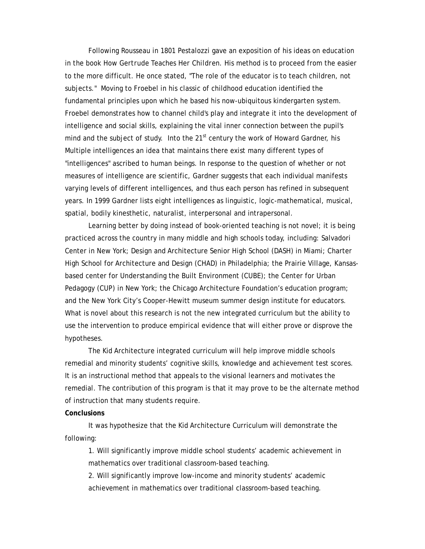Following Rousseau in 1801 Pestalozzi gave an exposition of his ideas on education in the book *How Gertrude Teaches Her Children*. His method is to proceed from the easier to the more difficult. He once stated, "The role of the educator is to teach children, not subjects." Moving to Froebel in his classic of childhood education identified the fundamental principles upon which he based his now-ubiquitous kindergarten system. Froebel demonstrates how to channel child's play and integrate it into the development of intelligence and social skills, explaining the vital inner connection between the pupil's mind and the subject of study. Into the  $21<sup>st</sup>$  century the work of Howard Gardner, his Multiple intelligences an idea that maintains there exist many different types of "intelligences" ascribed to human beings. In response to the question of whether or not measures of intelligence are scientific, Gardner suggests that each individual manifests varying levels of different intelligences, and thus each person has refined in subsequent years. In 1999 Gardner lists eight intelligences as linguistic, logic-mathematical, musical, spatial, bodily kinesthetic, naturalist, interpersonal and intrapersonal.

Learning better by doing instead of book-oriented teaching is not novel; it is being practiced across the country in many middle and high schools today, including: Salvadori Center in New York; Design and Architecture Senior High School (DASH) in Miami; Charter High School for Architecture and Design (CHAD) in Philadelphia; the Prairie Village, Kansasbased center for Understanding the Built Environment (CUBE); the Center for Urban Pedagogy (CUP) in New York; the Chicago Architecture Foundation's education program; and the New York City's Cooper-Hewitt museum summer design institute for educators. What is novel about this research is not the new integrated curriculum but the ability to use the intervention to produce empirical evidence that will either prove or disprove the hypotheses.

 The Kid Architecture integrated curriculum will help improve middle schools remedial and minority students' cognitive skills, knowledge and achievement test scores. It is an instructional method that appeals to the visional learners and motivates the remedial. The contribution of this program is that it may prove to be the alternate method of instruction that many students require.

#### **Conclusions**

 It was hypothesize that the Kid Architecture Curriculum will demonstrate the following:

 1. Will significantly improve middle school students' academic achievement in mathematics over traditional classroom-based teaching.

 2. Will significantly improve low-income and minority students' academic achievement in mathematics over traditional classroom-based teaching.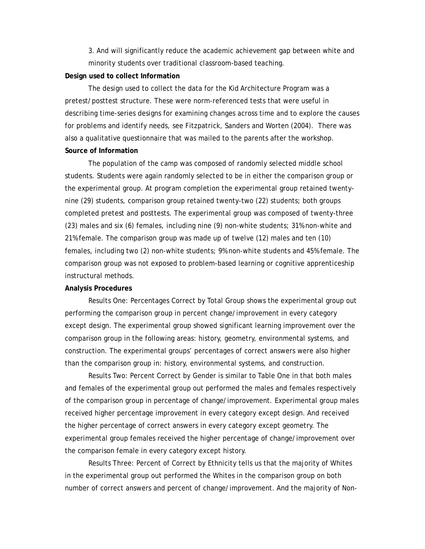3. And will significantly reduce the academic achievement gap between white and minority students over traditional classroom-based teaching.

## **Design used to collect Information**

 The design used to collect the data for the Kid Architecture Program was a pretest/posttest structure. These were norm-referenced tests that were useful in describing time-series designs for examining changes across time and to explore the causes for problems and identify needs, see Fitzpatrick, Sanders and Worten (2004). There was also a qualitative questionnaire that was mailed to the parents after the workshop. **Source of Information**

 The population of the camp was composed of randomly selected middle school students. Students were again randomly selected to be in either the comparison group or the experimental group. At program completion the experimental group retained twentynine (29) students, comparison group retained twenty-two (22) students; both groups completed pretest and posttests. The experimental group was composed of twenty-three (23) males and six (6) females, including nine (9) non-white students; 31% non-white and 21% female. The comparison group was made up of twelve (12) males and ten (10) females, including two (2) non-white students; 9% non-white students and 45% female. The comparison group was not exposed to problem-based learning or cognitive apprenticeship instructural methods.

#### **Analysis Procedures**

 Results One: Percentages Correct by Total Group shows the experimental group out performing the comparison group in percent change/improvement in every category except design. The experimental group showed significant learning improvement over the comparison group in the following areas: history, geometry, environmental systems, and construction. The experimental groups' percentages of correct answers were also higher than the comparison group in: history, environmental systems, and construction.

 Results Two: Percent Correct by Gender is similar to Table One in that both males and females of the experimental group out performed the males and females respectively of the comparison group in percentage of change/improvement. Experimental group males received higher percentage improvement in every category except design. And received the higher percentage of correct answers in every category except geometry. The experimental group females received the higher percentage of change/improvement over the comparison female in every category except history.

 Results Three: Percent of Correct by Ethnicity tells us that the majority of Whites in the experimental group out performed the Whites in the comparison group on both number of correct answers and percent of change/improvement. And the majority of Non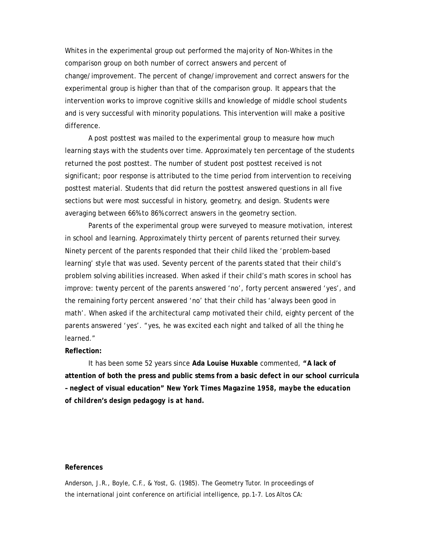Whites in the experimental group out performed the majority of Non-Whites in the comparison group on both number of correct answers and percent of change/improvement. The percent of change/improvement and correct answers for the experimental group is higher than that of the comparison group. It appears that the intervention works to improve cognitive skills and knowledge of middle school students and is very successful with minority populations. This intervention will make a positive difference.

 A post posttest was mailed to the experimental group to measure how much learning stays with the students over time. Approximately ten percentage of the students returned the post posttest. The number of student post posttest received is not significant; poor response is attributed to the time period from intervention to receiving posttest material. Students that did return the posttest answered questions in all five sections but were most successful in history, geometry, and design. Students were averaging between 66% to 86% correct answers in the geometry section.

 Parents of the experimental group were surveyed to measure motivation, interest in school and learning. Approximately thirty percent of parents returned their survey. Ninety percent of the parents responded that their child liked the 'problem-based learning' style that was used. Seventy percent of the parents stated that their child's problem solving abilities increased. When asked if their child's math scores in school has improve: twenty percent of the parents answered 'no', forty percent answered 'yes', and the remaining forty percent answered 'no' that their child has 'always been good in math'. When asked if the architectural camp motivated their child, eighty percent of the parents answered 'yes'. "yes, he was excited each night and talked of all the thing he learned."

## **Reflection:**

 It has been some 52 years since **Ada Louise Huxable** commented, **"A lack of attention of both the press and public stems from a basic defect in our school curricula – neglect of visual education"** *New York Times Magazine 1958, maybe the education of children's design pedagogy is at hand.*

### **References**

Anderson, J.R., Boyle, C.F., & Yost, G. (1985). The Geometry Tutor. In proceedings of the international joint conference on artificial intelligence, pp.1-7. Los Altos CA: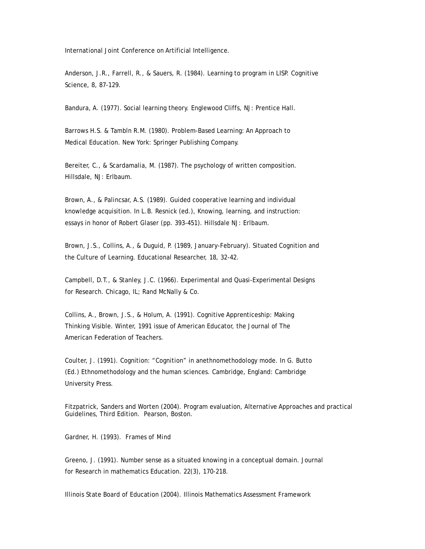International Joint Conference on Artificial Intelligence.

Anderson, J.R., Farrell, R., & Sauers, R. (1984). Learning to program in LISP. Cognitive Science, 8, 87-129.

Bandura, A. (1977). Social learning theory. Englewood Cliffs, NJ: Prentice Hall.

Barrows H.S. & Tambln R.M. (1980). Problem-Based Learning: An Approach to Medical Education. New York: Springer Publishing Company.

Bereiter, C., & Scardamalia, M. (1987). The psychology of written composition. Hillsdale, NJ: Erlbaum.

Brown, A., & Palincsar, A.S. (1989). Guided cooperative learning and individual knowledge acquisition. In L.B. Resnick (ed.), Knowing, learning, and instruction: essays in honor of Robert Glaser (pp. 393-451). Hillsdale NJ: Erlbaum.

Brown, J.S., Collins, A., & Duguid, P. (1989, January-February). Situated Cognition and the Culture of Learning. Educational Researcher, 18, 32-42.

Campbell, D.T., & Stanley, J.C. (1966). Experimental and Quasi-Experimental Designs for Research. Chicago, IL; Rand McNally & Co.

Collins, A., Brown, J.S., & Holum, A. (1991). Cognitive Apprenticeship: Making Thinking Visible. Winter, 1991 issue of American Educator, the Journal of The American Federation of Teachers.

Coulter, J. (1991). Cognition: "Cognition" in anethnomethodology mode. In G. Butto (Ed.) Ethnomethodology and the human sciences. Cambridge, England: Cambridge University Press.

Fitzpatrick, Sanders and Worten (2004). Program evaluation, Alternative Approaches and practical Guidelines, Third Edition. Pearson, Boston.

Gardner, H. (1993). *Frames of Mind*

Greeno, J. (1991). Number sense as a situated knowing in a conceptual domain. Journal for Research in mathematics Education. 22(3), 170-218.

Illinois State Board of Education (2004). Illinois Mathematics Assessment Framework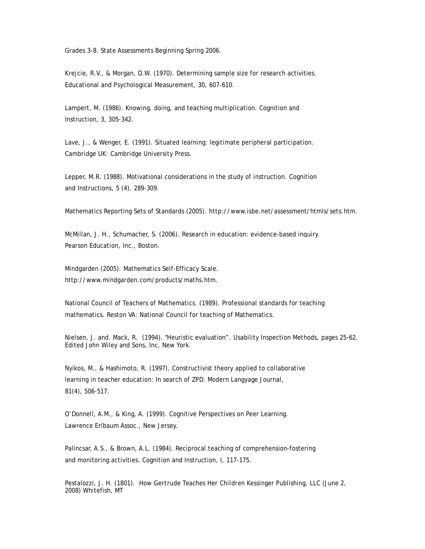Grades 3-8. State Assessments Beginning Spring 2006.

Krejcie, R.V., & Morgan, D.W. (1970). Determining sample size for research activities. Educational and Psychological Measurement, 30, 607-610.

Lampert, M. (1986). Knowing, doing, and teaching multiplication. Cognition and Instruction, 3, 305-342.

Lave, J., & Wenger, E. (1991). Situated learning: legitimate peripheral participation. Cambridge UK: Cambridge University Press.

Lepper, M.R. (1988). Motivational considerations in the study of instruction. Cognition and Instructions, 5 (4). 289-309.

Mathematics Reporting Sets of Standards (2005). http://www.isbe.net/assessment/htmls/sets.htm.

McMillan, J. H., Schumacher, S. (2006). Research in education: evidence-based inquiry. Pearson Education, Inc., Boston.

Mindgarden (2005). Mathematics Self-Efficacy Scale. http://www.mindgarden.com/products/maths.htm.

National Council of Teachers of Mathematics. (1989). Professional standards for teaching mathematics. Reston VA: National Council for teaching of Mathematics.

Nielsen, J. and. Mack, R. (1994). "Heuristic evaluation". Usability Inspection Methods, pages 25-62. Edited John Wiley and Sons, Inc, New York.

Nyikos, M., & Hashimoto, R. (1997). Constructivist theory applied to collaborative learning in teacher education: In search of ZPD. Modern Langyage Journal, 81(4), 506-517.

O'Donnell, A.M., & King, A. (1999). Cognitive Perspectives on Peer Learning. Lawrence Erlbaum Assoc., New Jersey.

Palincsar, A.S., & Brown, A.L. (1984). Reciprocal teaching of comprehension-fostering and monitoring activities. Cognition and Instruction, I, 117-175.

Pestalozzi, J. H. (1801). *How Gertrude Teaches Her Children* Kessinger Publishing, LLC (June 2, 2008) Whitefish, MT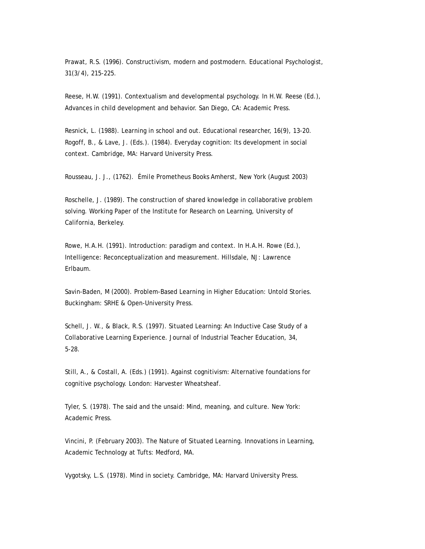Prawat, R.S. (1996). Constructivism, modern and postmodern. Educational Psychologist, 31(3/4), 215-225.

Reese, H.W. (1991). Contextualism and developmental psychology. In H.W. Reese (Ed.), Advances in child development and behavior. San Diego, CA: Academic Press.

Resnick, L. (1988). Learning in school and out. Educational researcher, 16(9), 13-20. Rogoff, B., & Lave, J. (Eds.). (1984). Everyday cognition: Its development in social context. Cambridge, MA: Harvard University Press.

Rousseau, J. J., (1762). *Émile* Prometheus Books Amherst, New York (August 2003)

Roschelle, J. (1989). The construction of shared knowledge in collaborative problem solving. Working Paper of the Institute for Research on Learning, University of California, Berkeley.

Rowe, H.A.H. (1991). Introduction: paradigm and context. In H.A.H. Rowe (Ed.), Intelligence: Reconceptualization and measurement. Hillsdale, NJ: Lawrence Erlbaum.

Savin-Baden, M (2000). Problem-Based Learning in Higher Education: Untold Stories. Buckingham: SRHE & Open-University Press.

Schell, J. W., & Black, R.S. (1997). Situated Learning: An Inductive Case Study of a Collaborative Learning Experience. Journal of Industrial Teacher Education, 34, 5-28.

Still, A., & Costall, A. (Eds.) (1991). Against cognitivism: Alternative foundations for cognitive psychology. London: Harvester Wheatsheaf.

Tyler, S. (1978). The said and the unsaid: Mind, meaning, and culture. New York: Academic Press.

Vincini, P. (February 2003). The Nature of Situated Learning. Innovations in Learning, Academic Technology at Tufts: Medford, MA.

Vygotsky, L.S. (1978). Mind in society. Cambridge, MA: Harvard University Press.